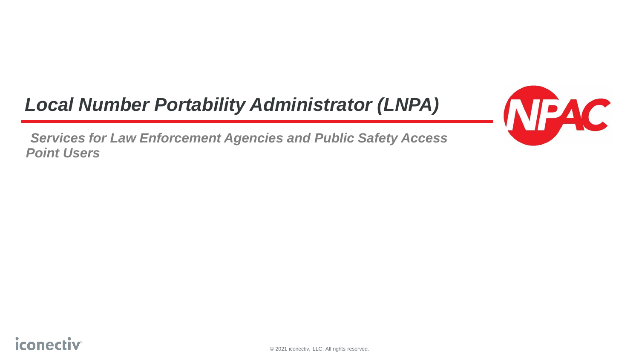### *Local Number Portability Administrator (LNPA)*

*Services for Law Enforcement Agencies and Public Safety Access Point Users*

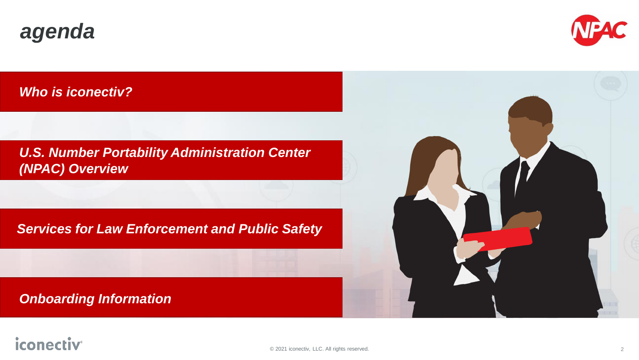



*Who is iconectiv?*

*U.S. Number Portability Administration Center (NPAC) Overview*

*Services for Law Enforcement and Public Safety*

*Onboarding Information*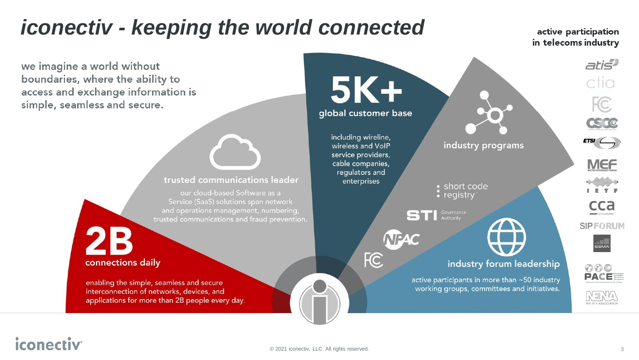# *iconectiv - keeping the world connected*

we imagine a world without boundaries, where the ability to access and exchange information is simple, seamless and secure.

#### trusted communications leader

our cloud-based Software as a Service (SaaS) solutions span network and operations management, numbering, trusted communications and fraud prevention.

# connections daily

enabling the simple, seamless and secure interconnection of networks, devices, and applications for more than 2B people every day.



### *iconectiv*

active participation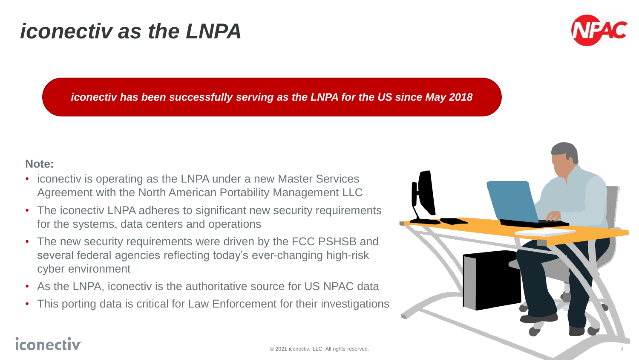# *iconectiv as the LNPA*



*iconectiv has been successfully serving as the LNPA for the US since May 2018*

#### **Note:**

- iconectiv is operating as the LNPA under a new Master Services Agreement with the North American Portability Management LLC
- The iconectiv LNPA adheres to significant new security requirements for the systems, data centers and operations
- The new security requirements were driven by the FCC PSHSB and several federal agencies reflecting today's ever-changing high-risk cyber environment
- As the LNPA, iconectiv is the authoritative source for US NPAC data
- This porting data is critical for Law Enforcement for their investigations

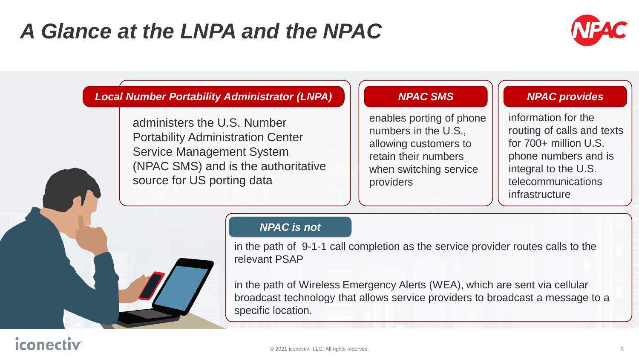# *A Glance at the LNPA and the NPAC*



#### *Local Number Portability Administrator (LNPA)*

administers the U.S. Number Portability Administration Center Service Management System (NPAC SMS) and is the authoritative source for US porting data

#### *NPAC SMS*

enables porting of phone numbers in the U.S., allowing customers to retain their numbers when switching service providers

#### *NPAC provides*

information for the routing of calls and texts for 700+ million U.S. phone numbers and is integral to the U.S. telecommunications infrastructure

#### *NPAC is not*

in the path of 9-1-1 call completion as the service provider routes calls to the relevant PSAP

in the path of Wireless Emergency Alerts (WEA), which are sent via cellular broadcast technology that allows service providers to broadcast a message to a specific location.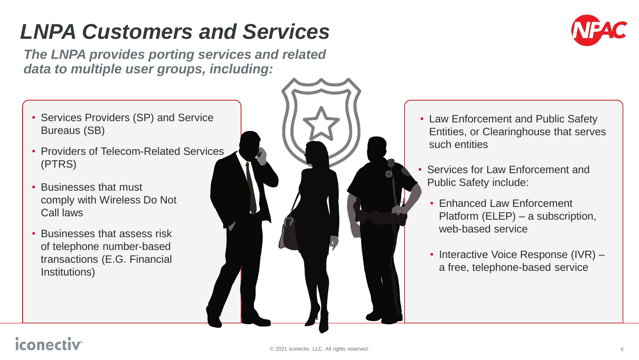# *LNPA Customers and Services*

*The LNPA provides porting services and related data to multiple user groups, including:*

- Services Providers (SP) and Service Bureaus (SB)
- Providers of Telecom-Related Services (PTRS)
- Businesses that must comply with Wireless Do Not Call laws
- Businesses that assess risk of telephone number-based transactions (E.G. Financial Institutions)





- Law Enforcement and Public Safety Entities, or Clearinghouse that serves such entities
- Services for Law Enforcement and Public Safety include:
	- Enhanced Law Enforcement Platform (ELEP) – a subscription, web-based service
	- Interactive Voice Response (IVR) a free, telephone-based service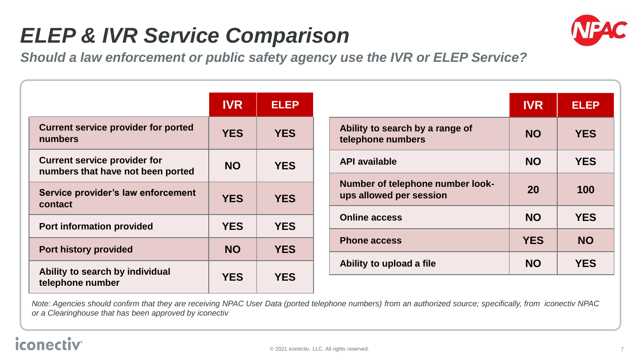# *ELEP & IVR Service Comparison*



*Should a law enforcement or public safety agency use the IVR or ELEP Service?*

|                                                                          | <b>IVR</b> | <b>ELEP</b> |
|--------------------------------------------------------------------------|------------|-------------|
| <b>Current service provider for ported</b><br>numbers                    | <b>YES</b> | <b>YES</b>  |
| <b>Current service provider for</b><br>numbers that have not been ported | <b>NO</b>  | <b>YES</b>  |
| Service provider's law enforcement<br>contact                            | <b>YES</b> | <b>YES</b>  |
| <b>Port information provided</b>                                         | <b>YES</b> | <b>YES</b>  |
| <b>Port history provided</b>                                             | <b>NO</b>  | <b>YES</b>  |
| Ability to search by individual<br>telephone number                      | <b>YES</b> | <b>YES</b>  |

|                                                             | <b>IVR</b> | <b>ELEP</b> |
|-------------------------------------------------------------|------------|-------------|
| Ability to search by a range of<br>telephone numbers        | <b>NO</b>  | <b>YES</b>  |
| <b>API available</b>                                        | <b>NO</b>  | <b>YES</b>  |
| Number of telephone number look-<br>ups allowed per session | 20         | 100         |
| <b>Online access</b>                                        | <b>NO</b>  | <b>YES</b>  |
| <b>Phone access</b>                                         | <b>YES</b> | <b>NO</b>   |
| Ability to upload a file                                    | <b>NO</b>  | <b>YES</b>  |

*Note: Agencies should confirm that they are receiving NPAC User Data (ported telephone numbers) from an authorized source; specifically, from iconectiv NPAC or a Clearinghouse that has been approved by iconectiv* 

### iconec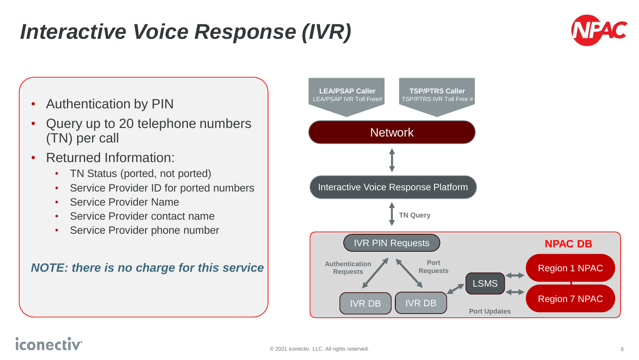# *Interactive Voice Response (IVR)*





- Query up to 20 telephone numbers (TN) per call
- Returned Information:
	- TN Status (ported, not ported)
	- Service Provider ID for ported numbers
	- Service Provider Name
	- Service Provider contact name
	- Service Provider phone number

#### *NOTE: there is no charge for this service*



### iconed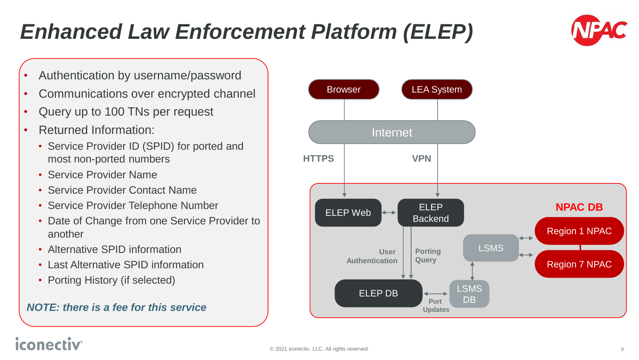# *Enhanced Law Enforcement Platform (ELEP)*

- Authentication by username/password
- Communications over encrypted channel
- Query up to 100 TNs per request
- Returned Information:
	- Service Provider ID (SPID) for ported and most non-ported numbers
	- Service Provider Name
	- Service Provider Contact Name
	- Service Provider Telephone Number
	- Date of Change from one Service Provider to another
	- Alternative SPID information
	- Last Alternative SPID information
	- Porting History (if selected)

#### *NOTE: there is a fee for this service*



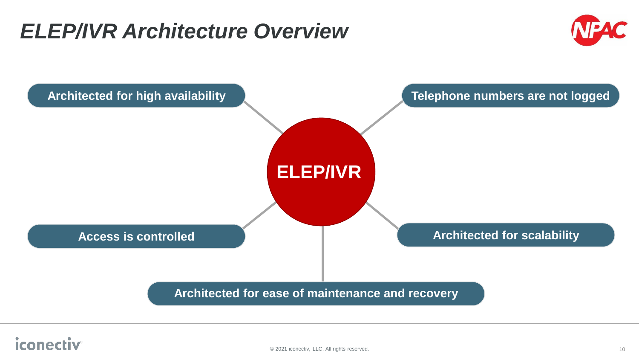### *ELEP/IVR Architecture Overview*



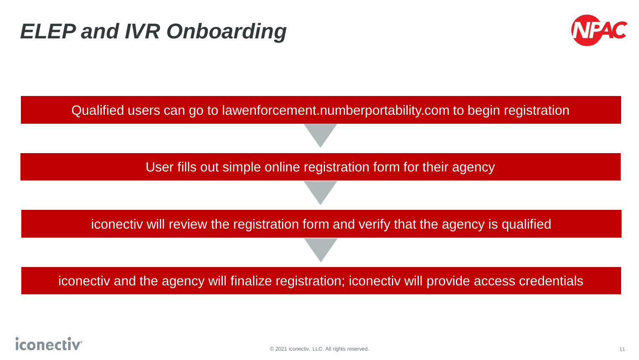# *ELEP and IVR Onboarding*





### iconecl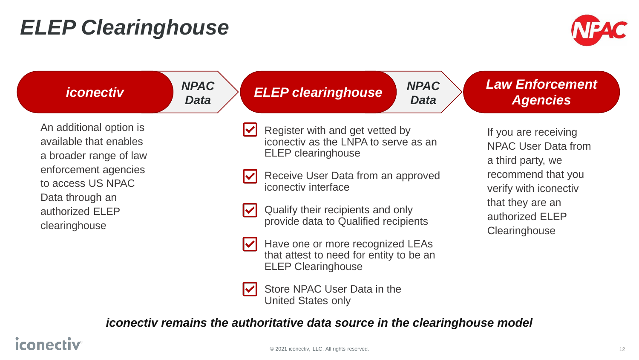# *ELEP Clearinghouse*



| <i><b>iconectiv</b></i>                                                     | <b>NPAC</b><br><b>NPAC</b><br><b>ELEP clearinghouse</b><br><b>Data</b><br><b>Data</b>                | <b>Law Enforcement</b><br><b>Agencies</b>                                                                                                                                      |
|-----------------------------------------------------------------------------|------------------------------------------------------------------------------------------------------|--------------------------------------------------------------------------------------------------------------------------------------------------------------------------------|
| An additional option is<br>available that enables<br>a broader range of law | Register with and get vetted by<br>iconectiv as the LNPA to serve as an<br><b>ELEP</b> clearinghouse | If you are receiving<br><b>NPAC User Data from</b><br>a third party, we<br>recommend that you<br>verify with iconectiv<br>that they are an<br>authorized ELEP<br>Clearinghouse |
| enforcement agencies<br>to access US NPAC                                   | Receive User Data from an approved<br>iconectiv interface                                            |                                                                                                                                                                                |
| Data through an<br>authorized ELEP<br>clearinghouse                         | Qualify their recipients and only<br>provide data to Qualified recipients                            |                                                                                                                                                                                |
|                                                                             | Have one or more recognized LEAs<br>that attest to need for entity to be an                          |                                                                                                                                                                                |

Store NPAC User Data in the  $\vert\mathbf{v}\vert$ United States only

*iconectiv remains the authoritative data source in the clearinghouse model*

ELEP Clearinghouse